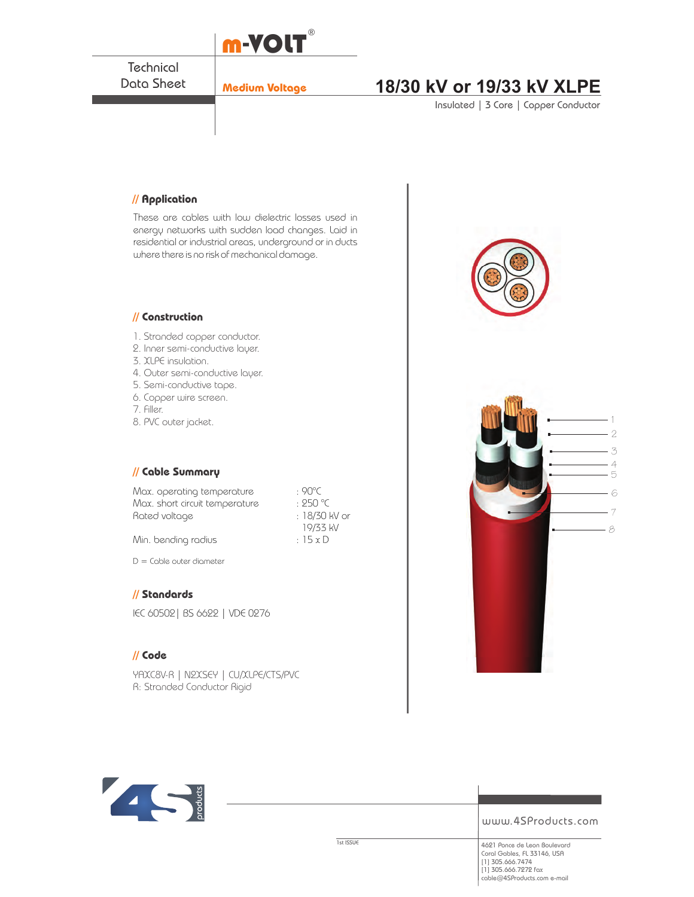

**Technical** Data Sheet

# **Medium Voltage 18/30 kV or 19/33 kV XLPE**

Insulated | 3 Core | Copper Conductor

### **// Application**

These are cables with low dielectric losses used in energy networks with sudden load changes. Laid in residential or industrial areas, underground or in ducts where there is no risk of mechanical damage.

#### **// Construction**

- 1. Stranded copper conductor.
- 2. Inner semi-conductive layer.
- 3. XLPE insulation.
- 4. Outer semi-conductive layer.
- 5. Semi-conductive tape.
- 6. Copper wire screen.
- 7. Filler.
- 8. PVC outer jacket.

### **// Cable Summary**

Max. operating temperature : 90°C<br>Max. short circuit temperature : 250 °C Max. short circuit temperature : 250 °C<br>Rated voltage : 18/30 kV or Rated voltage

Min. bending radius  $: 15 \times D$ 

D = Cable outer diameter

### **// Standards**

IEC 60502| BS 6622 | VDE 0276

### **// Code**

YAXC8V-R | N2XSEY | CU/XLPE/CTS/PVC R: Stranded Conductor Rigid





www.4SProducts.com

19/33 kV